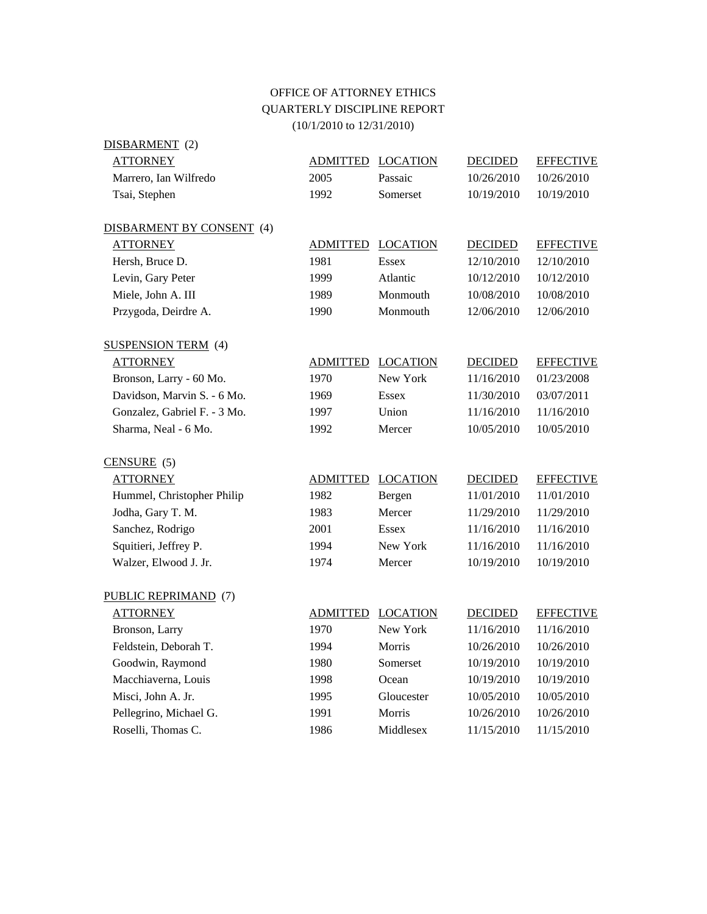## OFFICE OF ATTORNEY ETHICS QUARTERLY DISCIPLINE REPORT (10/1/2010 to 12/31/2010)

| DISBARMENT (2)               |                 |                          |                |                  |
|------------------------------|-----------------|--------------------------|----------------|------------------|
| <b>ATTORNEY</b>              | ADMITTED        | <b>LOCATION</b>          | <b>DECIDED</b> | <b>EFFECTIVE</b> |
| Marrero, Ian Wilfredo        | 2005            | Passaic                  | 10/26/2010     | 10/26/2010       |
| Tsai, Stephen                | 1992            | Somerset                 | 10/19/2010     | 10/19/2010       |
| DISBARMENT BY CONSENT (4)    |                 |                          |                |                  |
| <b>ATTORNEY</b>              | <b>ADMITTED</b> | <b>LOCATION</b>          | <b>DECIDED</b> | <b>EFFECTIVE</b> |
| Hersh, Bruce D.              | 1981            | <b>Essex</b>             | 12/10/2010     | 12/10/2010       |
| Levin, Gary Peter            | 1999            | Atlantic                 | 10/12/2010     | 10/12/2010       |
| Miele, John A. III           | 1989            | Monmouth                 | 10/08/2010     | 10/08/2010       |
| Przygoda, Deirdre A.         | 1990            | Monmouth                 | 12/06/2010     | 12/06/2010       |
| <b>SUSPENSION TERM</b> (4)   |                 |                          |                |                  |
| <b>ATTORNEY</b>              | <b>ADMITTED</b> | <b>LOCATION</b>          | <b>DECIDED</b> | <b>EFFECTIVE</b> |
| Bronson, Larry - 60 Mo.      | 1970            | New York                 | 11/16/2010     | 01/23/2008       |
| Davidson, Marvin S. - 6 Mo.  | 1969            | <b>Essex</b>             | 11/30/2010     | 03/07/2011       |
| Gonzalez, Gabriel F. - 3 Mo. | 1997            | Union                    | 11/16/2010     | 11/16/2010       |
| Sharma, Neal - 6 Mo.         | 1992            | Mercer                   | 10/05/2010     | 10/05/2010       |
| $CENSURE$ (5)                |                 |                          |                |                  |
| <b>ATTORNEY</b>              |                 | <b>ADMITTED LOCATION</b> | <b>DECIDED</b> | <b>EFFECTIVE</b> |
| Hummel, Christopher Philip   | 1982            | Bergen                   | 11/01/2010     | 11/01/2010       |
| Jodha, Gary T. M.            | 1983            | Mercer                   | 11/29/2010     | 11/29/2010       |
| Sanchez, Rodrigo             | 2001            | Essex                    | 11/16/2010     | 11/16/2010       |
| Squitieri, Jeffrey P.        | 1994            | New York                 | 11/16/2010     | 11/16/2010       |
| Walzer, Elwood J. Jr.        | 1974            | Mercer                   | 10/19/2010     | 10/19/2010       |
| PUBLIC REPRIMAND (7)         |                 |                          |                |                  |
| <b>ATTORNEY</b>              | <b>ADMITTED</b> | <b>LOCATION</b>          | <b>DECIDED</b> | <b>EFFECTIVE</b> |
| Bronson, Larry               | 1970            | New York                 | 11/16/2010     | 11/16/2010       |
| Feldstein, Deborah T.        | 1994            | Morris                   | 10/26/2010     | 10/26/2010       |
| Goodwin, Raymond             | 1980            | Somerset                 | 10/19/2010     | 10/19/2010       |
| Macchiaverna, Louis          | 1998            | Ocean                    | 10/19/2010     | 10/19/2010       |
| Misci, John A. Jr.           | 1995            | Gloucester               | 10/05/2010     | 10/05/2010       |
| Pellegrino, Michael G.       | 1991            | Morris                   | 10/26/2010     | 10/26/2010       |
| Roselli, Thomas C.           | 1986            | Middlesex                | 11/15/2010     | 11/15/2010       |